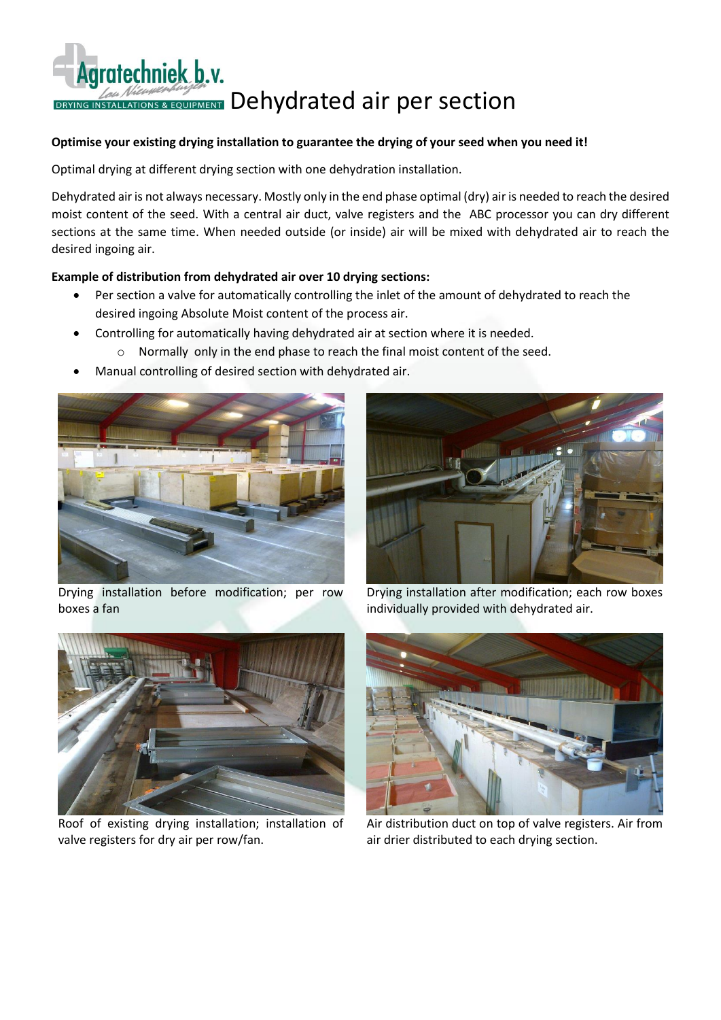## Agratechniek b.v. DRYING INSTALLATIONS & EQUIPMENT Dehydrated air per section

## **Optimise your existing drying installation to guarantee the drying of your seed when you need it!**

Optimal drying at different drying section with one dehydration installation.

Dehydrated air is not always necessary. Mostly only in the end phase optimal (dry) air is needed to reach the desired moist content of the seed. With a central air duct, valve registers and the ABC processor you can dry different sections at the same time. When needed outside (or inside) air will be mixed with dehydrated air to reach the desired ingoing air.

## **Example of distribution from dehydrated air over 10 drying sections:**

- Per section a valve for automatically controlling the inlet of the amount of dehydrated to reach the desired ingoing Absolute Moist content of the process air.
- Controlling for automatically having dehydrated air at section where it is needed.
	- o Normally only in the end phase to reach the final moist content of the seed.
- Manual controlling of desired section with dehydrated air.



Drying installation before modification; per row boxes a fan



Drying installation after modification; each row boxes individually provided with dehydrated air.



Roof of existing drying installation; installation of valve registers for dry air per row/fan.



Air distribution duct on top of valve registers. Air from air drier distributed to each drying section.